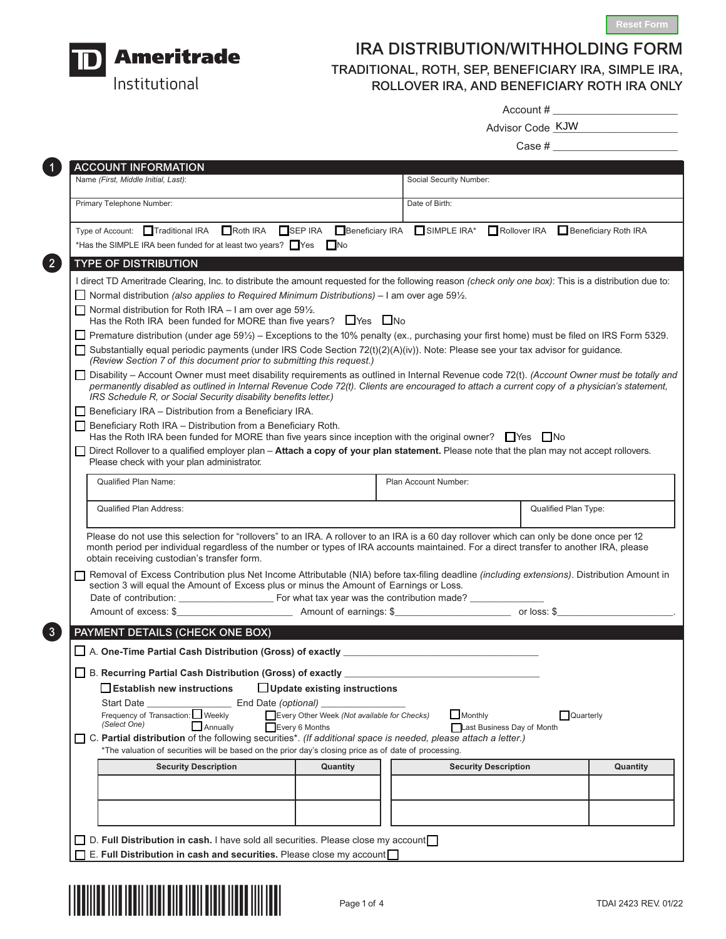



C

# IRA DISTRIBUTION/WITHHOLDING FORM TRADITIONAL, ROTH, SEP, BENEFICIARY IRA, SIMPLE IRA, ROLLOVER IRA, AND BENEFICIARY ROTH IRA ONLY

Account # \_\_\_\_\_\_\_\_\_\_\_\_\_\_\_\_\_\_\_\_\_

| Advisor Code KJW |  |
|------------------|--|
|                  |  |

|                                                                                                                                                      | Case #                                                                                                                                                                                                                                                                                        |  |  |  |  |
|------------------------------------------------------------------------------------------------------------------------------------------------------|-----------------------------------------------------------------------------------------------------------------------------------------------------------------------------------------------------------------------------------------------------------------------------------------------|--|--|--|--|
| <b>ACCOUNT INFORMATION</b>                                                                                                                           |                                                                                                                                                                                                                                                                                               |  |  |  |  |
| Name (First, Middle Initial, Last):                                                                                                                  | Social Security Number:                                                                                                                                                                                                                                                                       |  |  |  |  |
| Primary Telephone Number:                                                                                                                            | Date of Birth:                                                                                                                                                                                                                                                                                |  |  |  |  |
|                                                                                                                                                      | Type of Account: Traditional IRA EROth IRA ESEP IRA EBeneficiary IRA ESIMPLE IRA* EROllover IRA EBeneficiary Roth IRA                                                                                                                                                                         |  |  |  |  |
| *Has the SIMPLE IRA been funded for at least two years? Yes Mo                                                                                       |                                                                                                                                                                                                                                                                                               |  |  |  |  |
| <b>TYPE OF DISTRIBUTION</b>                                                                                                                          |                                                                                                                                                                                                                                                                                               |  |  |  |  |
|                                                                                                                                                      | I direct TD Ameritrade Clearing, Inc. to distribute the amount requested for the following reason (check only one box): This is a distribution due to:                                                                                                                                        |  |  |  |  |
| Normal distribution (also applies to Required Minimum Distributions) – I am over age $59\frac{1}{2}$ .                                               |                                                                                                                                                                                                                                                                                               |  |  |  |  |
| Normal distribution for Roth IRA $-$ I am over age 59 $\frac{1}{2}$ .<br>Has the Roth IRA been funded for MORE than five years? $\Box$ Yes $\Box$ No |                                                                                                                                                                                                                                                                                               |  |  |  |  |
|                                                                                                                                                      | □ Premature distribution (under age 59½) – Exceptions to the 10% penalty (ex., purchasing your first home) must be filed on IRS Form 5329.                                                                                                                                                    |  |  |  |  |
| (Review Section 7 of this document prior to submitting this request.)                                                                                | Substantially equal periodic payments (under IRS Code Section 72(t)(2)(A)(iv)). Note: Please see your tax advisor for guidance.                                                                                                                                                               |  |  |  |  |
| IRS Schedule R, or Social Security disability benefits letter.)                                                                                      | □ Disability - Account Owner must meet disability requirements as outlined in Internal Revenue code 72(t). (Account Owner must be totally and<br>permanently disabled as outlined in Internal Revenue Code 72(t). Clients are encouraged to attach a current copy of a physician's statement, |  |  |  |  |
| $\Box$ Beneficiary IRA – Distribution from a Beneficiary IRA.                                                                                        |                                                                                                                                                                                                                                                                                               |  |  |  |  |
| $\Box$ Beneficiary Roth IRA – Distribution from a Beneficiary Roth.                                                                                  |                                                                                                                                                                                                                                                                                               |  |  |  |  |
| Has the Roth IRA been funded for MORE than five years since inception with the original owner? $\Box$ Yes $\Box$ No                                  | Direct Rollover to a qualified employer plan - Attach a copy of your plan statement. Please note that the plan may not accept rollovers.                                                                                                                                                      |  |  |  |  |
| Please check with your plan administrator.                                                                                                           |                                                                                                                                                                                                                                                                                               |  |  |  |  |
| <b>Qualified Plan Name:</b>                                                                                                                          | Plan Account Number:                                                                                                                                                                                                                                                                          |  |  |  |  |
| <b>Qualified Plan Address:</b>                                                                                                                       | Qualified Plan Type:                                                                                                                                                                                                                                                                          |  |  |  |  |
|                                                                                                                                                      |                                                                                                                                                                                                                                                                                               |  |  |  |  |
| obtain receiving custodian's transfer form.                                                                                                          | Please do not use this selection for "rollovers" to an IRA. A rollover to an IRA is a 60 day rollover which can only be done once per 12<br>month period per individual regardless of the number or types of IRA accounts maintained. For a direct transfer to another IRA, please            |  |  |  |  |
|                                                                                                                                                      | □ Removal of Excess Contribution plus Net Income Attributable (NIA) before tax-filing deadline <i>(including extensions)</i> . Distribution Amount in                                                                                                                                         |  |  |  |  |
| section 3 will equal the Amount of Excess plus or minus the Amount of Earnings or Loss.                                                              |                                                                                                                                                                                                                                                                                               |  |  |  |  |
| Amount of excess: \$                                                                                                                                 |                                                                                                                                                                                                                                                                                               |  |  |  |  |
|                                                                                                                                                      |                                                                                                                                                                                                                                                                                               |  |  |  |  |
| PAYMENT DETAILS (CHECK ONE BOX)                                                                                                                      |                                                                                                                                                                                                                                                                                               |  |  |  |  |
|                                                                                                                                                      |                                                                                                                                                                                                                                                                                               |  |  |  |  |
| □ B. Recurring Partial Cash Distribution (Gross) of exactly _                                                                                        |                                                                                                                                                                                                                                                                                               |  |  |  |  |
|                                                                                                                                                      |                                                                                                                                                                                                                                                                                               |  |  |  |  |
| □ Update existing instructions<br>Establish new instructions                                                                                         |                                                                                                                                                                                                                                                                                               |  |  |  |  |
|                                                                                                                                                      |                                                                                                                                                                                                                                                                                               |  |  |  |  |
| Every Other Week (Not available for Checks)<br>Frequency of Transaction: Weekly                                                                      | $\Box$ Monthly<br>Quarterly                                                                                                                                                                                                                                                                   |  |  |  |  |
| (Select One)<br>Annually<br>Every 6 Months                                                                                                           | Last Business Day of Month                                                                                                                                                                                                                                                                    |  |  |  |  |
| *The valuation of securities will be based on the prior day's closing price as of date of processing.                                                |                                                                                                                                                                                                                                                                                               |  |  |  |  |
| <b>Security Description</b><br>Quantity                                                                                                              | <b>Security Description</b><br>Quantity                                                                                                                                                                                                                                                       |  |  |  |  |
|                                                                                                                                                      |                                                                                                                                                                                                                                                                                               |  |  |  |  |
|                                                                                                                                                      |                                                                                                                                                                                                                                                                                               |  |  |  |  |
| C. Partial distribution of the following securities*. (If additional space is needed, please attach a letter.)                                       |                                                                                                                                                                                                                                                                                               |  |  |  |  |
|                                                                                                                                                      |                                                                                                                                                                                                                                                                                               |  |  |  |  |
| D. Full Distribution in cash. I have sold all securities. Please close my account                                                                    |                                                                                                                                                                                                                                                                                               |  |  |  |  |

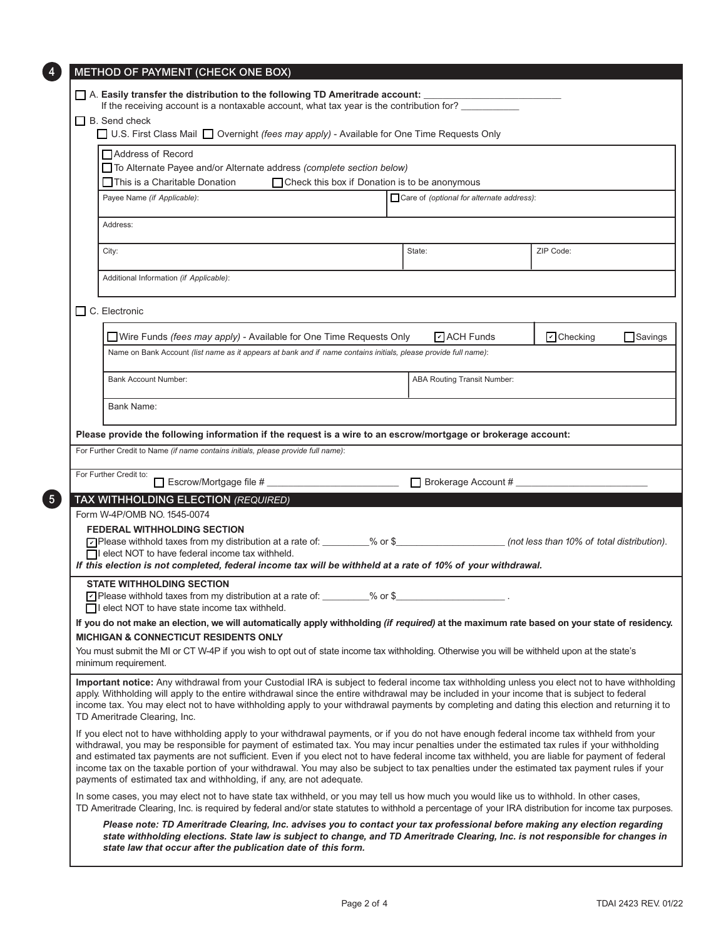| $\Box$ B. Send check                                                                                                                                                                                                                                                                                                                                                                                                                                                                                                                                                                                                                                                                                |                                                 |        |                                           |                 |                |
|-----------------------------------------------------------------------------------------------------------------------------------------------------------------------------------------------------------------------------------------------------------------------------------------------------------------------------------------------------------------------------------------------------------------------------------------------------------------------------------------------------------------------------------------------------------------------------------------------------------------------------------------------------------------------------------------------------|-------------------------------------------------|--------|-------------------------------------------|-----------------|----------------|
| □ U.S. First Class Mail □ Overnight (fees may apply) - Available for One Time Requests Only                                                                                                                                                                                                                                                                                                                                                                                                                                                                                                                                                                                                         |                                                 |        |                                           |                 |                |
| Address of Record                                                                                                                                                                                                                                                                                                                                                                                                                                                                                                                                                                                                                                                                                   |                                                 |        |                                           |                 |                |
| To Alternate Payee and/or Alternate address (complete section below)                                                                                                                                                                                                                                                                                                                                                                                                                                                                                                                                                                                                                                |                                                 |        |                                           |                 |                |
| □ This is a Charitable Donation                                                                                                                                                                                                                                                                                                                                                                                                                                                                                                                                                                                                                                                                     | □ Check this box if Donation is to be anonymous |        |                                           |                 |                |
| Payee Name (if Applicable):                                                                                                                                                                                                                                                                                                                                                                                                                                                                                                                                                                                                                                                                         |                                                 |        | Care of (optional for alternate address): |                 |                |
| Address:                                                                                                                                                                                                                                                                                                                                                                                                                                                                                                                                                                                                                                                                                            |                                                 |        |                                           |                 |                |
| City:                                                                                                                                                                                                                                                                                                                                                                                                                                                                                                                                                                                                                                                                                               |                                                 | State: |                                           | ZIP Code:       |                |
| Additional Information (if Applicable):                                                                                                                                                                                                                                                                                                                                                                                                                                                                                                                                                                                                                                                             |                                                 |        |                                           |                 |                |
| $\Box$ C. Electronic                                                                                                                                                                                                                                                                                                                                                                                                                                                                                                                                                                                                                                                                                |                                                 |        |                                           |                 |                |
| Wire Funds (fees may apply) - Available for One Time Requests Only                                                                                                                                                                                                                                                                                                                                                                                                                                                                                                                                                                                                                                  |                                                 |        | $\triangleright$ ACH Funds                | $\Box$ Checking | $\Box$ Savings |
| Name on Bank Account (list name as it appears at bank and if name contains initials, please provide full name):                                                                                                                                                                                                                                                                                                                                                                                                                                                                                                                                                                                     |                                                 |        |                                           |                 |                |
| <b>Bank Account Number:</b>                                                                                                                                                                                                                                                                                                                                                                                                                                                                                                                                                                                                                                                                         |                                                 |        | ABA Routing Transit Number:               |                 |                |
| Bank Name:                                                                                                                                                                                                                                                                                                                                                                                                                                                                                                                                                                                                                                                                                          |                                                 |        |                                           |                 |                |
|                                                                                                                                                                                                                                                                                                                                                                                                                                                                                                                                                                                                                                                                                                     |                                                 |        |                                           |                 |                |
|                                                                                                                                                                                                                                                                                                                                                                                                                                                                                                                                                                                                                                                                                                     |                                                 |        |                                           |                 |                |
| Please provide the following information if the request is a wire to an escrow/mortgage or brokerage account:<br>For Further Credit to Name (if name contains initials, please provide full name):                                                                                                                                                                                                                                                                                                                                                                                                                                                                                                  |                                                 |        |                                           |                 |                |
| For Further Credit to:                                                                                                                                                                                                                                                                                                                                                                                                                                                                                                                                                                                                                                                                              |                                                 |        | Brokerage Account #                       |                 |                |
| TAX WITHHOLDING ELECTION (REQUIRED)                                                                                                                                                                                                                                                                                                                                                                                                                                                                                                                                                                                                                                                                 |                                                 |        |                                           |                 |                |
| Form W-4P/OMB NO. 1545-0074                                                                                                                                                                                                                                                                                                                                                                                                                                                                                                                                                                                                                                                                         |                                                 |        |                                           |                 |                |
| <b>FEDERAL WITHHOLDING SECTION</b>                                                                                                                                                                                                                                                                                                                                                                                                                                                                                                                                                                                                                                                                  |                                                 |        |                                           |                 |                |
| Please withhold taxes from my distribution at a rate of: _______% or \$___________________________(not less than 10% of total distribution).<br>□ elect NOT to have federal income tax withheld.                                                                                                                                                                                                                                                                                                                                                                                                                                                                                                    |                                                 |        |                                           |                 |                |
| If this election is not completed, federal income tax will be withheld at a rate of 10% of your withdrawal.                                                                                                                                                                                                                                                                                                                                                                                                                                                                                                                                                                                         |                                                 |        |                                           |                 |                |
| <b>STATE WITHHOLDING SECTION</b>                                                                                                                                                                                                                                                                                                                                                                                                                                                                                                                                                                                                                                                                    |                                                 |        |                                           |                 |                |
| ☑ Please withhold taxes from my distribution at a rate of: ________% or \$__                                                                                                                                                                                                                                                                                                                                                                                                                                                                                                                                                                                                                        |                                                 |        |                                           |                 |                |
| □ l elect NOT to have state income tax withheld.<br>If you do not make an election, we will automatically apply withholding (if required) at the maximum rate based on your state of residency.                                                                                                                                                                                                                                                                                                                                                                                                                                                                                                     |                                                 |        |                                           |                 |                |
| <b>MICHIGAN &amp; CONNECTICUT RESIDENTS ONLY</b>                                                                                                                                                                                                                                                                                                                                                                                                                                                                                                                                                                                                                                                    |                                                 |        |                                           |                 |                |
| You must submit the MI or CT W-4P if you wish to opt out of state income tax withholding. Otherwise you will be withheld upon at the state's<br>minimum requirement.                                                                                                                                                                                                                                                                                                                                                                                                                                                                                                                                |                                                 |        |                                           |                 |                |
| Important notice: Any withdrawal from your Custodial IRA is subject to federal income tax withholding unless you elect not to have withholding<br>apply. Withholding will apply to the entire withdrawal since the entire withdrawal may be included in your income that is subject to federal<br>income tax. You may elect not to have withholding apply to your withdrawal payments by completing and dating this election and returning it to                                                                                                                                                                                                                                                    |                                                 |        |                                           |                 |                |
| TD Ameritrade Clearing, Inc.<br>If you elect not to have withholding apply to your withdrawal payments, or if you do not have enough federal income tax withheld from your<br>withdrawal, you may be responsible for payment of estimated tax. You may incur penalties under the estimated tax rules if your withholding<br>and estimated tax payments are not sufficient. Even if you elect not to have federal income tax withheld, you are liable for payment of federal<br>income tax on the taxable portion of your withdrawal. You may also be subject to tax penalties under the estimated tax payment rules if your<br>payments of estimated tax and withholding, if any, are not adequate. |                                                 |        |                                           |                 |                |
| In some cases, you may elect not to have state tax withheld, or you may tell us how much you would like us to withhold. In other cases,<br>TD Ameritrade Clearing, Inc. is required by federal and/or state statutes to withhold a percentage of your IRA distribution for income tax purposes.                                                                                                                                                                                                                                                                                                                                                                                                     |                                                 |        |                                           |                 |                |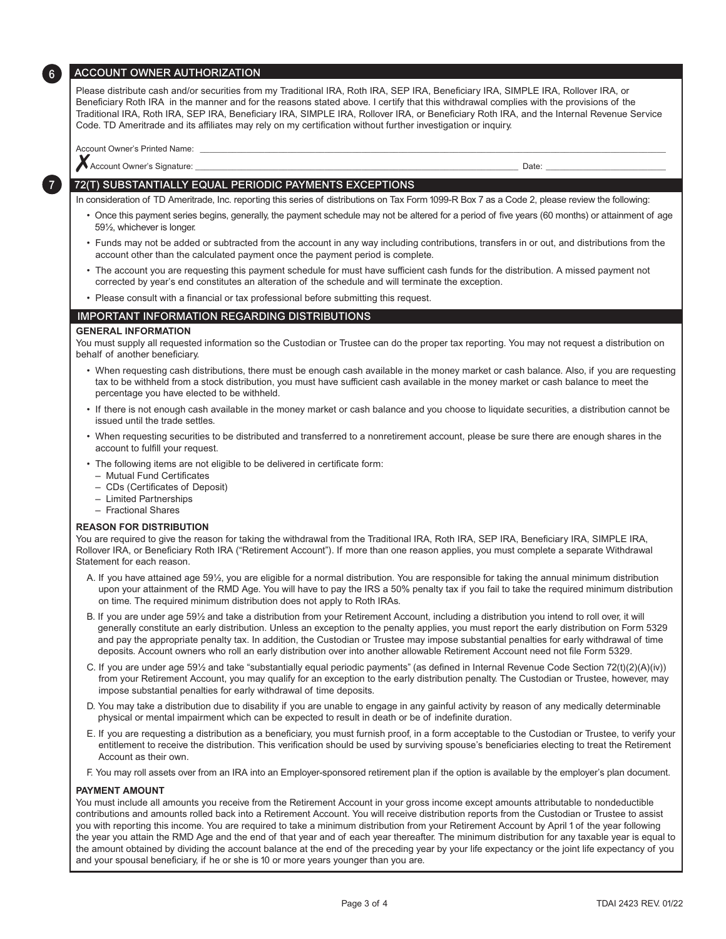## ACCOUNT OWNER AUTHORIZATION

Please distribute cash and/or securities from my Traditional IRA, Roth IRA, SEP IRA, Beneficiary IRA, SIMPLE IRA, Rollover IRA, or Beneficiary Roth IRA in the manner and for the reasons stated above. I certify that this withdrawal complies with the provisions of the Traditional IRA, Roth IRA, SEP IRA, Beneficiary IRA, SIMPLE IRA, Rollover IRA, or Beneficiary Roth IRA, and the Internal Revenue Service Code. TD Ameritrade and its affiliates may rely on my certification without further investigation or inquiry.

Account Owner's Printed Name:

66

7

✗Account Owner's Signature: \_\_\_\_\_\_\_\_\_\_\_\_\_\_\_\_\_\_\_\_\_\_\_\_\_\_\_\_\_\_\_\_\_\_\_\_\_\_\_\_\_\_\_\_\_\_\_\_\_\_\_\_\_\_\_\_\_\_\_\_\_\_\_\_\_\_\_\_\_\_ Date: \_\_\_\_\_\_\_\_\_\_\_\_\_\_\_\_\_\_\_\_\_\_\_\_\_\_

72(T) SUBSTANTIALLY EQUAL PERIODIC PAYMENTS EXCEPTIONS

In consideration of TD Ameritrade, Inc. reporting this series of distributions on Tax Form 1099-R Box 7 as a Code 2, please review the following:

- Once this payment series begins, generally, the payment schedule may not be altered for a period of five years (60 months) or attainment of age 59½, whichever is longer.
- Funds may not be added or subtracted from the account in any way including contributions, transfers in or out, and distributions from the account other than the calculated payment once the payment period is complete.
- The account you are requesting this payment schedule for must have sufficient cash funds for the distribution. A missed payment not corrected by year's end constitutes an alteration of the schedule and will terminate the exception.
- Please consult with a financial or tax professional before submitting this request.

### IMPORTANT INFORMATION REGARDING DISTRIBUTIONS

#### **GENERAL INFORMATION**

You must supply all requested information so the Custodian or Trustee can do the proper tax reporting. You may not request a distribution on behalf of another beneficiary.

- When requesting cash distributions, there must be enough cash available in the money market or cash balance. Also, if you are requesting tax to be withheld from a stock distribution, you must have sufficient cash available in the money market or cash balance to meet the percentage you have elected to be withheld.
- If there is not enough cash available in the money market or cash balance and you choose to liquidate securities, a distribution cannot be issued until the trade settles.
- When requesting securities to be distributed and transferred to a nonretirement account, please be sure there are enough shares in the account to fulfill your request.
- The following items are not eligible to be delivered in certificate form:
	- Mutual Fund Certificates
	- CDs (Certificates of Deposit)
- Limited Partnerships
- Fractional Shares

#### **REASON FOR DISTRIBUTION**

You are required to give the reason for taking the withdrawal from the Traditional IRA, Roth IRA, SEP IRA, Beneficiary IRA, SIMPLE IRA, Rollover IRA, or Beneficiary Roth IRA ("Retirement Account"). If more than one reason applies, you must complete a separate Withdrawal Statement for each reason.

- A. If you have attained age 59½, you are eligible for a normal distribution. You are responsible for taking the annual minimum distribution upon your attainment of the RMD Age. You will have to pay the IRS a 50% penalty tax if you fail to take the required minimum distribution on time. The required minimum distribution does not apply to Roth IRAs.
- B. If you are under age 59½ and take a distribution from your Retirement Account, including a distribution you intend to roll over, it will generally constitute an early distribution. Unless an exception to the penalty applies, you must report the early distribution on Form 5329 and pay the appropriate penalty tax. In addition, the Custodian or Trustee may impose substantial penalties for early withdrawal of time deposits. Account owners who roll an early distribution over into another allowable Retirement Account need not file Form 5329.
- C. If you are under age 59½ and take "substantially equal periodic payments" (as defined in Internal Revenue Code Section 72(t)(2)(A)(iv)) from your Retirement Account, you may qualify for an exception to the early distribution penalty. The Custodian or Trustee, however, may impose substantial penalties for early withdrawal of time deposits.
- D. You may take a distribution due to disability if you are unable to engage in any gainful activity by reason of any medically determinable physical or mental impairment which can be expected to result in death or be of indefinite duration.
- E. If you are requesting a distribution as a beneficiary, you must furnish proof, in a form acceptable to the Custodian or Trustee, to verify your entitlement to receive the distribution. This verification should be used by surviving spouse's beneficiaries electing to treat the Retirement Account as their own.
- F. You may roll assets over from an IRA into an Employer-sponsored retirement plan if the option is available by the employer's plan document.

#### **PAYMENT AMOUNT**

You must include all amounts you receive from the Retirement Account in your gross income except amounts attributable to nondeductible contributions and amounts rolled back into a Retirement Account. You will receive distribution reports from the Custodian or Trustee to assist you with reporting this income. You are required to take a minimum distribution from your Retirement Account by April 1 of the year following the year you attain the RMD Age and the end of that year and of each year thereafter. The minimum distribution for any taxable year is equal to the amount obtained by dividing the account balance at the end of the preceding year by your life expectancy or the joint life expectancy of you and your spousal beneficiary, if he or she is 10 or more years younger than you are.